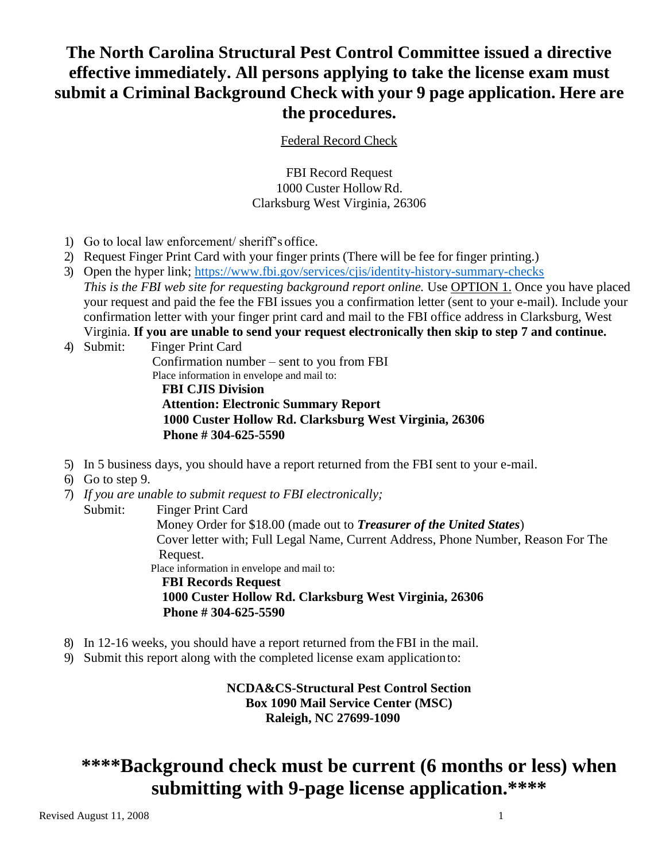# **The North Carolina Structural Pest Control Committee issued a directive effective immediately. All persons applying to take the license exam must submit a Criminal Background Check with your 9 page application. Here are the procedures.**

Federal Record Check

FBI Record Request 1000 Custer Hollow Rd. Clarksburg West Virginia, 26306

- 1) Go to local law enforcement/ sheriff's office.
- 2) Request Finger Print Card with your finger prints (There will be fee for finger printing.)
- 3) Open the hyper link;<https://www.fbi.gov/services/cjis/identity-history-summary-checks> This is the FBI web site for requesting background report online. Use **OPTION 1**. Once you have placed your request and paid the fee the FBI issues you a confirmation letter (sent to your e-mail). Include your confirmation letter with your finger print card and mail to the FBI office address in Clarksburg, West Virginia. **If you are unable to send your request electronically then skip to step 7 and continue.**
- 4) Submit: Finger Print Card Confirmation number – sent to you from FBI Place information in envelope and mail to:  **FBI CJIS Division Attention: Electronic Summary Report 1000 Custer Hollow Rd. Clarksburg West Virginia, 26306**

 **Phone # 304-625-5590** 

- 5) In 5 business days, you should have a report returned from the FBI sent to your e-mail.
- 6) Go to step 9.
- 7) *If you are unable to submit request to FBI electronically;* Submit: Finger Print Card Money Order for \$18.00 (made out to *Treasurer of the United States*) Cover letter with; Full Legal Name, Current Address, Phone Number, Reason For The Request. Place information in envelope and mail to:  **FBI Records Request 1000 Custer Hollow Rd. Clarksburg West Virginia, 26306 Phone # 304-625-5590**
- 8) In 12-16 weeks, you should have a report returned from the FBI in the mail.
- 9) Submit this report along with the completed license exam applicationto:

**NCDA&CS-Structural Pest Control Section Box 1090 Mail Service Center (MSC) Raleigh, NC 27699-1090**

# **\*\*\*\*Background check must be current (6 months or less) when submitting with 9-page license application.\*\*\*\***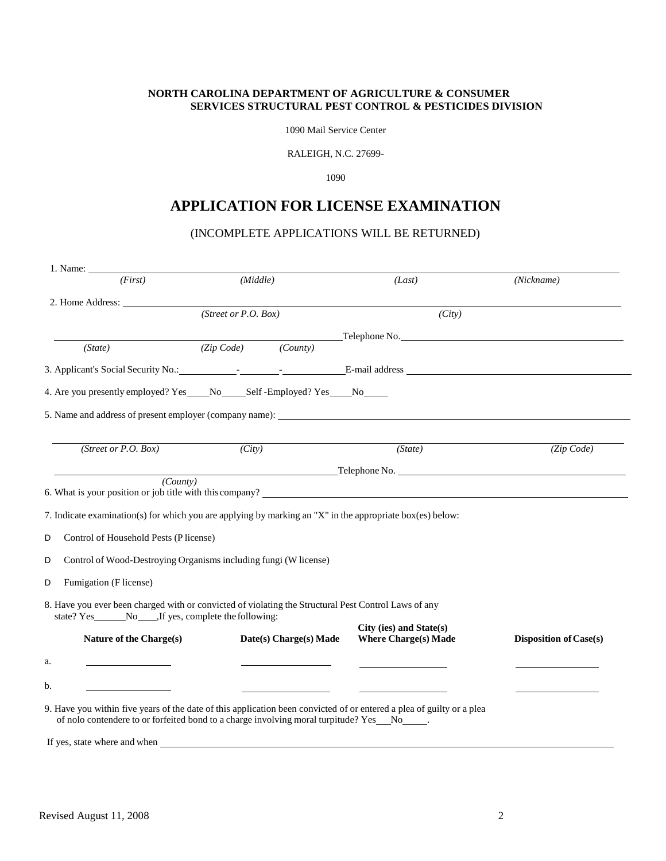### **NORTH CAROLINA DEPARTMENT OF AGRICULTURE & CONSUMER SERVICES STRUCTURAL PEST CONTROL & PESTICIDES DIVISION**

1090 Mail Service Center

RALEIGH, N.C. 27699-

1090

# **APPLICATION FOR LICENSE EXAMINATION**

# (INCOMPLETE APPLICATIONS WILL BE RETURNED)

| 1. Name:                                                                                                              |                                                                                                           |                             |                               |
|-----------------------------------------------------------------------------------------------------------------------|-----------------------------------------------------------------------------------------------------------|-----------------------------|-------------------------------|
| (First)                                                                                                               | (Middle)                                                                                                  | (Last)                      | (Nickname)                    |
|                                                                                                                       |                                                                                                           |                             |                               |
|                                                                                                                       | (Street or $P.O. Box$ )                                                                                   | (City)                      |                               |
|                                                                                                                       |                                                                                                           | Telephone No.               |                               |
| (State)                                                                                                               | (Zip Code) (County)                                                                                       |                             |                               |
|                                                                                                                       |                                                                                                           |                             |                               |
|                                                                                                                       | 4. Are you presently employed? Yes _____ No________ Self-Employed? Yes _____ No______                     |                             |                               |
|                                                                                                                       | 5. Name and address of present employer (company name):                                                   |                             |                               |
|                                                                                                                       |                                                                                                           |                             |                               |
| (Street or P.O. Box)                                                                                                  | (City)                                                                                                    | (State)                     | (Zip Code)                    |
|                                                                                                                       | <u>Example 2001</u> Telephone No.                                                                         |                             |                               |
| (County)                                                                                                              |                                                                                                           |                             |                               |
|                                                                                                                       | 6. What is your position or job title with this company?                                                  |                             |                               |
|                                                                                                                       | 7. Indicate examination(s) for which you are applying by marking an "X" in the appropriate box(es) below: |                             |                               |
| Control of Household Pests (P license)<br>D                                                                           |                                                                                                           |                             |                               |
| D                                                                                                                     | Control of Wood-Destroying Organisms including fungi (W license)                                          |                             |                               |
| Fumigation (F license)<br>D                                                                                           |                                                                                                           |                             |                               |
|                                                                                                                       | 8. Have you ever been charged with or convicted of violating the Structural Pest Control Laws of any      |                             |                               |
|                                                                                                                       |                                                                                                           | City (ies) and State(s)     |                               |
| Nature of the Charge(s)                                                                                               | Date(s) Charge(s) Made                                                                                    | <b>Where Charge(s) Made</b> | <b>Disposition of Case(s)</b> |
| a.<br><u> 1989 - John Stone Barnett, s</u>                                                                            |                                                                                                           |                             |                               |
|                                                                                                                       |                                                                                                           |                             |                               |
| b.                                                                                                                    |                                                                                                           |                             |                               |
| 9. Have you within five years of the date of this application been convicted of or entered a plea of guilty or a plea | of nolo contendere to or forfeited bond to a charge involving moral turpitude? Yes_No____.                |                             |                               |
| If yes, state where and when                                                                                          |                                                                                                           |                             |                               |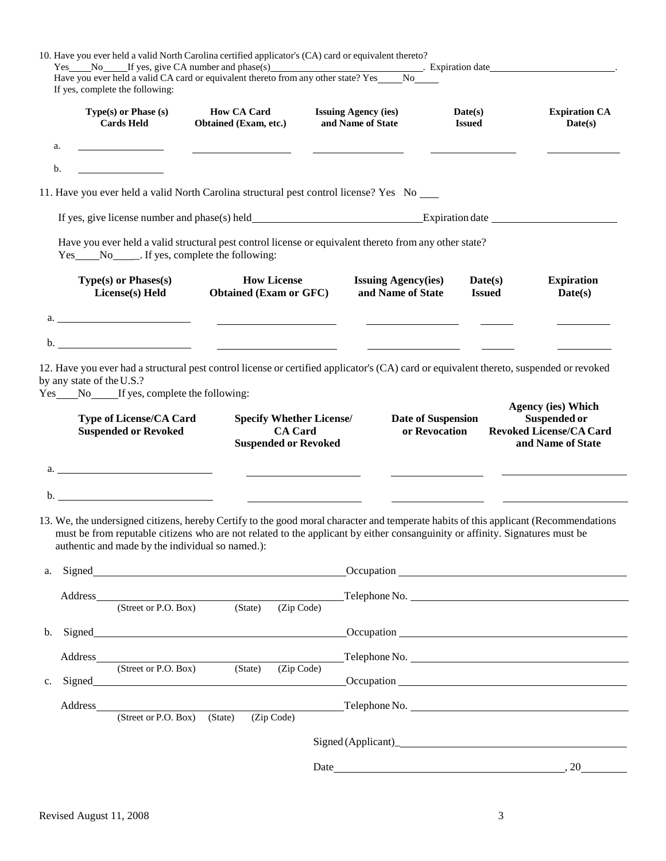| If yes, complete the following:                                                                                   | 10. Have you ever held a valid North Carolina certified applicator's (CA) card or equivalent thereto?<br>Yes No If yes, give CA number and phase(s) Expiration date Expiration date New You ever held a valid CA card or equivalent thereto from any other state? Yes No No Islamic Ves No No Islamic Ves No No Islamic Ves No No Islam |                                                  |                                     |                                                                                                  |
|-------------------------------------------------------------------------------------------------------------------|-----------------------------------------------------------------------------------------------------------------------------------------------------------------------------------------------------------------------------------------------------------------------------------------------------------------------------------------|--------------------------------------------------|-------------------------------------|--------------------------------------------------------------------------------------------------|
| Type(s) or Phase (s)<br><b>Cards Held</b>                                                                         | <b>How CA Card</b><br>Obtained (Exam, etc.)                                                                                                                                                                                                                                                                                             | <b>Issuing Agency (ies)</b><br>and Name of State | Date(s)<br><b>Issued</b>            | <b>Expiration CA</b><br>Date(s)                                                                  |
| a.                                                                                                                |                                                                                                                                                                                                                                                                                                                                         |                                                  |                                     |                                                                                                  |
| b.                                                                                                                |                                                                                                                                                                                                                                                                                                                                         |                                                  |                                     |                                                                                                  |
|                                                                                                                   | 11. Have you ever held a valid North Carolina structural pest control license? Yes No ____                                                                                                                                                                                                                                              |                                                  |                                     |                                                                                                  |
|                                                                                                                   |                                                                                                                                                                                                                                                                                                                                         |                                                  |                                     |                                                                                                  |
|                                                                                                                   | Have you ever held a valid structural pest control license or equivalent thereto from any other state?                                                                                                                                                                                                                                  |                                                  |                                     |                                                                                                  |
| <b>Type(s) or Phases(s)</b><br>License(s) Held                                                                    | <b>How License</b><br><b>Obtained (Exam or GFC)</b>                                                                                                                                                                                                                                                                                     | <b>Issuing Agency(ies)</b><br>and Name of State  | Date(s)<br><b>Issued</b>            | <b>Expiration</b><br>Date(s)                                                                     |
|                                                                                                                   | $\alpha$ .                                                                                                                                                                                                                                                                                                                              |                                                  |                                     |                                                                                                  |
|                                                                                                                   |                                                                                                                                                                                                                                                                                                                                         |                                                  |                                     |                                                                                                  |
| Yes _____No______If yes, complete the following:<br><b>Type of License/CA Card</b><br><b>Suspended or Revoked</b> | <b>Specify Whether License/</b><br><b>CA</b> Card<br><b>Suspended or Revoked</b>                                                                                                                                                                                                                                                        |                                                  | Date of Suspension<br>or Revocation | <b>Agency (ies) Which</b><br>Suspended or<br><b>Revoked License/CA Card</b><br>and Name of State |
| <u> 1980 - Johann Barbara, martxa eta politikar</u>                                                               |                                                                                                                                                                                                                                                                                                                                         |                                                  |                                     |                                                                                                  |
| authentic and made by the individual so named.):                                                                  | 13. We, the undersigned citizens, hereby Certify to the good moral character and temperate habits of this applicant (Recommendations<br>must be from reputable citizens who are not related to the applicant by either consanguinity or affinity. Signatures must be                                                                    |                                                  |                                     |                                                                                                  |
| a.                                                                                                                |                                                                                                                                                                                                                                                                                                                                         |                                                  |                                     |                                                                                                  |
| Address_                                                                                                          | $D. Box$ (State)<br>(Street or P.O. Box)<br>(Zip Code)                                                                                                                                                                                                                                                                                  | $\overline{\phantom{a}}$                         | Telephone No.                       |                                                                                                  |
|                                                                                                                   | b. Signed <u>same</u> and some services and some services and some services are seen to see the service of the service of the service of the service of the service of the service of the service of the service of the service of                                                                                                      |                                                  |                                     |                                                                                                  |
| Address                                                                                                           | (Street or P.O. Box) (State)                                                                                                                                                                                                                                                                                                            |                                                  | Telephone No.                       |                                                                                                  |
| $c_{\cdot}$                                                                                                       | (Zip Code)                                                                                                                                                                                                                                                                                                                              |                                                  |                                     |                                                                                                  |
| Address                                                                                                           | $(Street or P.O. Box)$ $(State)$<br>(Zip Code)                                                                                                                                                                                                                                                                                          |                                                  | Telephone No.                       |                                                                                                  |
|                                                                                                                   |                                                                                                                                                                                                                                                                                                                                         |                                                  |                                     |                                                                                                  |
|                                                                                                                   |                                                                                                                                                                                                                                                                                                                                         | Date                                             |                                     | , 20                                                                                             |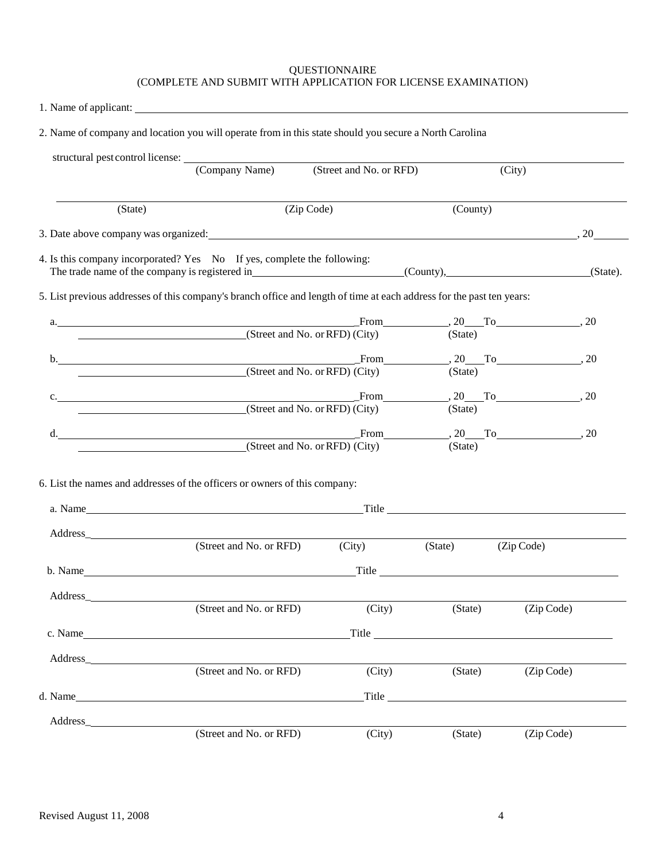#### QUESTIONNAIRE (COMPLETE AND SUBMIT WITH APPLICATION FOR LICENSE EXAMINATION)

1. Name of applicant:

|          | structural pest control license: (Company Name)                                                                                                                                                                                | (Street and No. or RFD) |                                                                                                                                                                                                                                    | (City)                                                     |  |
|----------|--------------------------------------------------------------------------------------------------------------------------------------------------------------------------------------------------------------------------------|-------------------------|------------------------------------------------------------------------------------------------------------------------------------------------------------------------------------------------------------------------------------|------------------------------------------------------------|--|
| (State)  |                                                                                                                                                                                                                                | (Zip Code)              | (County)                                                                                                                                                                                                                           |                                                            |  |
|          | 3. Date above company was organized: 200 to the set of the set of the set of the set of the set of the set of the set of the set of the set of the set of the set of the set of the set of the set of the set of the set of th |                         |                                                                                                                                                                                                                                    |                                                            |  |
|          | 4. Is this company incorporated? Yes No If yes, complete the following:                                                                                                                                                        |                         |                                                                                                                                                                                                                                    |                                                            |  |
|          | 5. List previous addresses of this company's branch office and length of time at each address for the past ten years:                                                                                                          |                         |                                                                                                                                                                                                                                    |                                                            |  |
|          | a.<br>$(Street and No. or RFD)$ $(City)$                                                                                                                                                                                       |                         | (State)                                                                                                                                                                                                                            | $From$ $20$ To $70$ , $20$                                 |  |
|          | b. From From From (Street and No. or RFD) (City)                                                                                                                                                                               |                         |                                                                                                                                                                                                                                    | $\text{From}$ $\qquad \qquad$ , 20 To $\qquad \qquad$ , 20 |  |
|          |                                                                                                                                                                                                                                |                         | (State)                                                                                                                                                                                                                            |                                                            |  |
|          | c.<br>(Street and No. or RFD) (City)                                                                                                                                                                                           |                         | (State)                                                                                                                                                                                                                            | From $\qquad 20$ To $\qquad \qquad 20$                     |  |
|          | d.                                                                                                                                                                                                                             |                         |                                                                                                                                                                                                                                    | From $\qquad 20$ To $\qquad \qquad 20$ , $20$              |  |
|          | (Street and No. or RFD) (City)                                                                                                                                                                                                 |                         | (State)                                                                                                                                                                                                                            |                                                            |  |
|          | 6. List the names and addresses of the officers or owners of this company:                                                                                                                                                     |                         |                                                                                                                                                                                                                                    |                                                            |  |
|          |                                                                                                                                                                                                                                |                         |                                                                                                                                                                                                                                    |                                                            |  |
|          |                                                                                                                                                                                                                                |                         |                                                                                                                                                                                                                                    |                                                            |  |
|          |                                                                                                                                                                                                                                |                         |                                                                                                                                                                                                                                    |                                                            |  |
|          | (Street and No. or RFD)                                                                                                                                                                                                        | (City)                  | (State)                                                                                                                                                                                                                            | (Zip Code)                                                 |  |
|          | b. Name Title                                                                                                                                                                                                                  |                         |                                                                                                                                                                                                                                    |                                                            |  |
|          |                                                                                                                                                                                                                                |                         |                                                                                                                                                                                                                                    |                                                            |  |
|          | (Street and No. or RFD)                                                                                                                                                                                                        | (City)                  | (State)                                                                                                                                                                                                                            | (Zip Code)                                                 |  |
|          | c. Name $\qquad \qquad$                                                                                                                                                                                                        |                         |                                                                                                                                                                                                                                    |                                                            |  |
| Address_ | (Street and No. or RFD)                                                                                                                                                                                                        | (City)                  | (State)                                                                                                                                                                                                                            | (Zip Code)                                                 |  |
|          | d. Name                                                                                                                                                                                                                        |                         | Title <b>The Community</b> Service Service Service Service Service Service Service Service Service Service Service Service Service Service Service Service Service Service Service Service Service Service Service Service Service |                                                            |  |
| Address  |                                                                                                                                                                                                                                |                         |                                                                                                                                                                                                                                    |                                                            |  |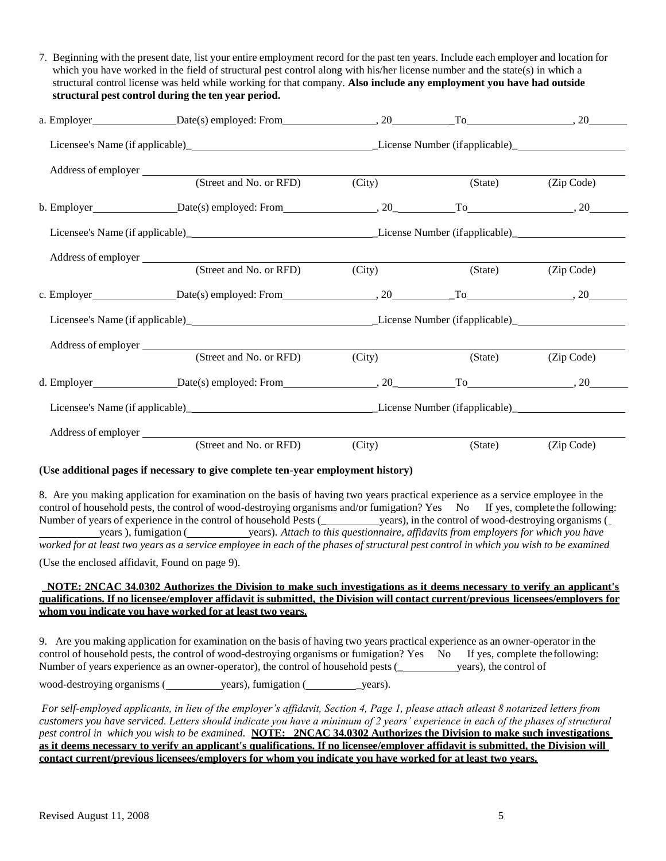|                     | 7. Beginning with the present date, list your entire employment record for the past ten years. Include each employer and location for<br>which you have worked in the field of structural pest control along with his/her license number and the state(s) in which a<br>structural control license was held while working for that company. Also include any employment you have had outside<br>structural pest control during the ten year period. |        |         |            |
|---------------------|-----------------------------------------------------------------------------------------------------------------------------------------------------------------------------------------------------------------------------------------------------------------------------------------------------------------------------------------------------------------------------------------------------------------------------------------------------|--------|---------|------------|
|                     | a. Employer $Date(s)$ employed: From $\qquad \qquad$ $\qquad \qquad$ $\qquad \qquad$ $\qquad \qquad$ $\qquad \qquad$ $\qquad \qquad$ $\qquad \qquad$ $\qquad \qquad$ $\qquad \qquad$ $\qquad \qquad$ $\qquad \qquad$ $\qquad \qquad$ $\qquad \qquad$ $\qquad \qquad$ $\qquad \qquad$ $\qquad \qquad$ $\qquad \qquad$ $\qquad \qquad$ $\qquad \qquad$ $\qquad \qquad$ $\qquad \qquad$                                                                |        |         |            |
|                     |                                                                                                                                                                                                                                                                                                                                                                                                                                                     |        |         |            |
|                     | Address of employer (Street and No. or RFD) (City)                                                                                                                                                                                                                                                                                                                                                                                                  |        | (State) | (Zip Code) |
|                     | b. Employer $Date(s)$ employed: From $20 \qquad \qquad$ $To$ $20 \qquad \qquad$ $(20 \qquad \qquad)$                                                                                                                                                                                                                                                                                                                                                |        |         |            |
|                     |                                                                                                                                                                                                                                                                                                                                                                                                                                                     |        |         |            |
|                     | (Street and No. or RFD)                                                                                                                                                                                                                                                                                                                                                                                                                             | (City) | (State) | (Zip Code) |
|                     |                                                                                                                                                                                                                                                                                                                                                                                                                                                     |        |         |            |
|                     |                                                                                                                                                                                                                                                                                                                                                                                                                                                     |        |         |            |
| Address of employer | (Street and No. or RFD)                                                                                                                                                                                                                                                                                                                                                                                                                             | (City) | (State) | (Zip Code) |
|                     |                                                                                                                                                                                                                                                                                                                                                                                                                                                     |        |         | $To$ , 20  |
|                     |                                                                                                                                                                                                                                                                                                                                                                                                                                                     |        |         |            |
|                     | (Street and No. or RFD)                                                                                                                                                                                                                                                                                                                                                                                                                             | (City) | (State) | (Zip Code) |

# **(Use additional pages if necessary to give complete ten-year employment history)**

8. Are you making application for examination on the basis of having two years practical experience as a service employee in the control of household pests, the control of wood-destroying organisms and/or fumigation? Yes No If yes, complete the following: Number of years of experience in the control of household Pests (\_\_\_\_\_\_\_\_\_\_\_\_\_\_\_\_ years), in the control of wood-destroying organisms ( years ), fumigation ( years). Attach to this questionnaire, affidavits from employers for which you have worked for at least two years as a service employee in each of the phases of structural pest control in which you wish to be examined (Use the enclosed affidavit, Found on page 9).

**NOTE: 2NCAC 34.0302 Authorizes the Division to make such investigations as it deems necessary to verify an applicant's**  qualifications. If no licensee/emplover affidavit is submitted, the Division will contact current/previous licensees/emplovers for **whom you indicate you have worked for at least two years.**

9. Are you making application for examination on the basis of having two years practical experience as an owner-operator in the control of household pests, the control of wood-destroying organisms or fumigation? Yes No If yes, complete the following: Number of years experience as an owner-operator), the control of household pests (see years), the control of

wood-destroying organisms (state of years), fumigation (state of years).

*For self-employed applicants, in lieu of the employer's affidavit, Section 4, Page 1, please attach atleast 8 notarized letters from customers you have serviced. Letters should indicate you have a minimum of 2 years' experience in each of the phases of structural pest control in which you wish to be examined.* **NOTE: 2NCAC 34.0302 Authorizes the Division to make such investigations as it deems necessary to verify an applicant's qualifications. If no licensee/employer affidavit is submitted, the Division will contact current/previous licensees/employers for whom you indicate you have worked for at least two years.**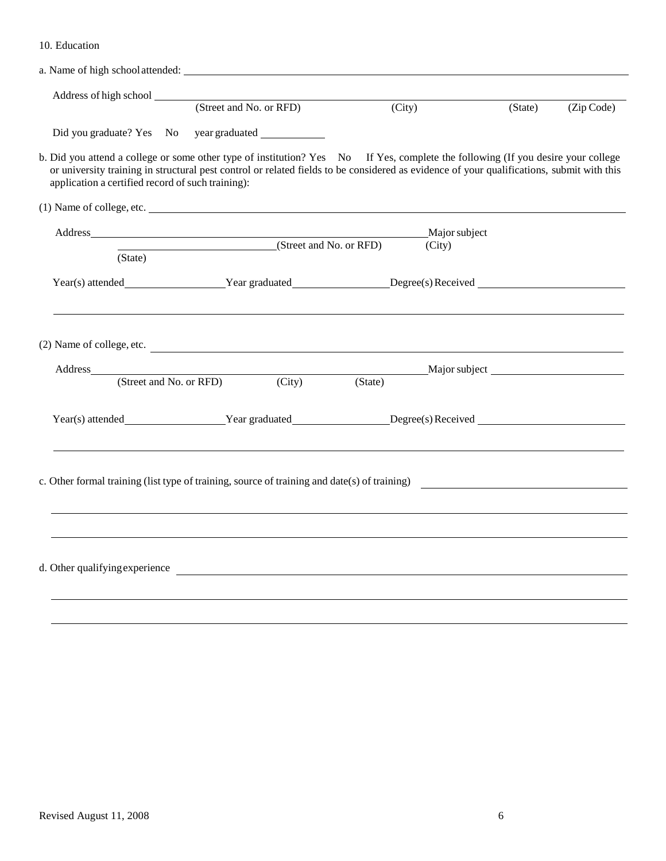|                                                   | Address of high school (Street and No. or RFD)                                                                                                                                                                                                                                | (City)                  | (State) | (Zip Code) |
|---------------------------------------------------|-------------------------------------------------------------------------------------------------------------------------------------------------------------------------------------------------------------------------------------------------------------------------------|-------------------------|---------|------------|
|                                                   |                                                                                                                                                                                                                                                                               |                         |         |            |
| application a certified record of such training): | b. Did you attend a college or some other type of institution? Yes No If Yes, complete the following (If you desire your college<br>or university training in structural pest control or related fields to be considered as evidence of your qualifications, submit with this |                         |         |            |
|                                                   | (1) Name of college, etc.                                                                                                                                                                                                                                                     |                         |         |            |
|                                                   | (Street and No. or RFD)                                                                                                                                                                                                                                                       | Major subject<br>(City) |         |            |
| (State)                                           |                                                                                                                                                                                                                                                                               |                         |         |            |
|                                                   | Year(s) attended_____________________Year graduated__________________Degree(s) Received ______________________                                                                                                                                                                |                         |         |            |
|                                                   | (2) Name of college, etc.<br>Address Major subject Major subject Major subject Major subject Street and No. or RFD) (City) (State)                                                                                                                                            |                         |         |            |
|                                                   |                                                                                                                                                                                                                                                                               |                         |         |            |
|                                                   | Year(s) attended Year graduated Degree(s) Received                                                                                                                                                                                                                            |                         |         |            |
|                                                   | c. Other formal training (list type of training, source of training and date(s) of training)                                                                                                                                                                                  |                         |         |            |
|                                                   |                                                                                                                                                                                                                                                                               |                         |         |            |
|                                                   |                                                                                                                                                                                                                                                                               |                         |         |            |
|                                                   |                                                                                                                                                                                                                                                                               |                         |         |            |
|                                                   | d. Other qualifying experience                                                                                                                                                                                                                                                |                         |         |            |
|                                                   |                                                                                                                                                                                                                                                                               |                         |         |            |
|                                                   |                                                                                                                                                                                                                                                                               |                         |         |            |

10. Education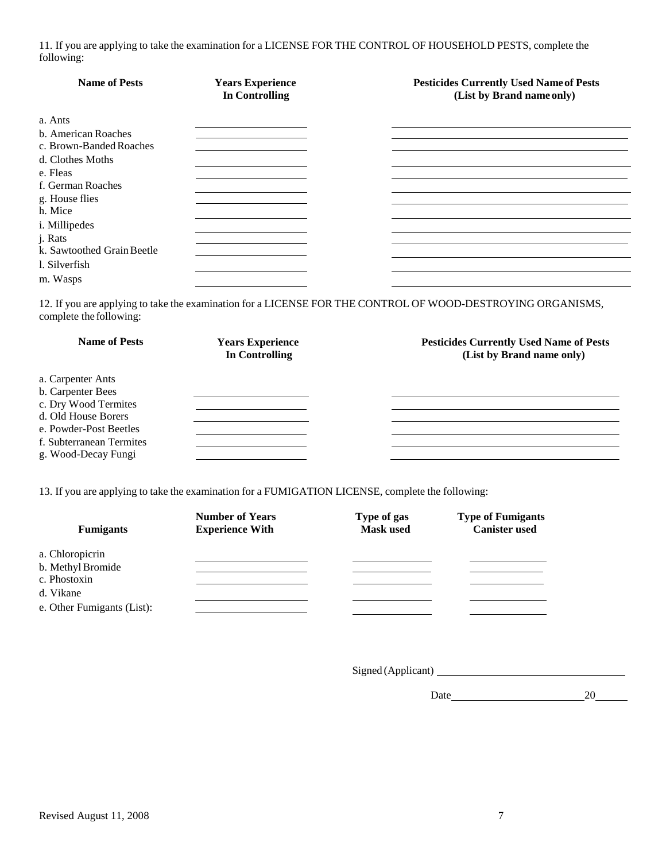11. If you are applying to take the examination for a LICENSE FOR THE CONTROL OF HOUSEHOLD PESTS, complete the following:

| <b>Name of Pests</b>                           | <b>Years Experience</b><br><b>In Controlling</b> | <b>Pesticides Currently Used Name of Pests</b><br>(List by Brand name only) |
|------------------------------------------------|--------------------------------------------------|-----------------------------------------------------------------------------|
| a. Ants                                        |                                                  |                                                                             |
| b. American Roaches<br>c. Brown-Banded Roaches |                                                  |                                                                             |
| d. Clothes Moths                               |                                                  |                                                                             |
| e. Fleas<br>f. German Roaches                  |                                                  |                                                                             |
| g. House flies<br>h. Mice                      |                                                  |                                                                             |
| i. Millipedes                                  |                                                  |                                                                             |
| j. Rats<br>k. Sawtoothed Grain Beetle          |                                                  |                                                                             |
| 1. Silverfish                                  |                                                  |                                                                             |
| m. Wasps                                       |                                                  |                                                                             |

12. If you are applying to take the examination for a LICENSE FOR THE CONTROL OF WOOD-DESTROYING ORGANISMS, complete the following:

| <b>Name of Pests</b>     | <b>Years Experience</b><br>In Controlling | <b>Pesticides Currently Used Name of Pests</b><br>(List by Brand name only) |
|--------------------------|-------------------------------------------|-----------------------------------------------------------------------------|
| a. Carpenter Ants        |                                           |                                                                             |
| b. Carpenter Bees        |                                           |                                                                             |
| c. Dry Wood Termites     |                                           |                                                                             |
| d. Old House Borers      |                                           |                                                                             |
| e. Powder-Post Beetles   |                                           |                                                                             |
| f. Subterranean Termites |                                           |                                                                             |
| g. Wood-Decay Fungi      |                                           |                                                                             |

13. If you are applying to take the examination for a FUMIGATION LICENSE, complete the following:

| <b>Fumigants</b>                                     | <b>Number of Years</b><br><b>Experience With</b> | Type of gas<br><b>Mask used</b> | <b>Type of Fumigants</b><br><b>Canister used</b> |
|------------------------------------------------------|--------------------------------------------------|---------------------------------|--------------------------------------------------|
| a. Chloropicrin<br>b. Methyl Bromide<br>c. Phostoxin |                                                  |                                 |                                                  |
| d. Vikane<br>e. Other Fumigants (List):              |                                                  |                                 |                                                  |

Signed (Applicant)

Date 20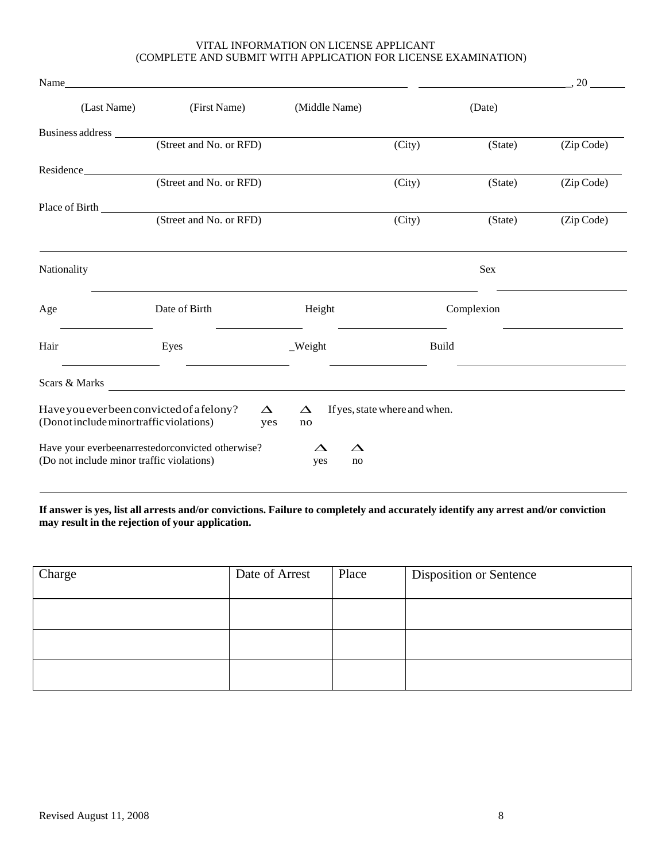# VITAL INFORMATION ON LICENSE APPLICANT (COMPLETE AND SUBMIT WITH APPLICATION FOR LICENSE EXAMINATION)

| Name                                                                                  |                                                  |                                      |                               |            | 20         |
|---------------------------------------------------------------------------------------|--------------------------------------------------|--------------------------------------|-------------------------------|------------|------------|
| (Last Name)                                                                           | (First Name)                                     | (Middle Name)                        |                               | (Date)     |            |
|                                                                                       |                                                  |                                      |                               |            |            |
|                                                                                       | (Street and No. or RFD)                          |                                      | (City)                        | (State)    | (Zip Code) |
| Residence                                                                             |                                                  |                                      |                               |            |            |
|                                                                                       | (Street and No. or RFD)                          |                                      | (City)                        | (State)    | (Zip Code) |
|                                                                                       |                                                  |                                      |                               |            |            |
|                                                                                       | (Street and No. or RFD)                          |                                      | (City)                        | (State)    | (Zip Code) |
|                                                                                       |                                                  |                                      |                               |            |            |
| Nationality                                                                           |                                                  |                                      |                               | Sex        |            |
| Age                                                                                   | Date of Birth                                    | Height                               |                               | Complexion |            |
| Hair                                                                                  | Eyes                                             | $\mathbf{W}$ eight                   | <b>Build</b>                  |            |            |
|                                                                                       | Scars & Marks <b>Scars &amp; Marks</b>           |                                      |                               |            |            |
| Have you ever been convicted of a felony?<br>(Donot include minor traffic violations) | $\Delta$<br>yes                                  | $\Delta$<br>no                       | If yes, state where and when. |            |            |
| (Do not include minor traffic violations)                                             | Have your everbeenarrestedorconvicted otherwise? | $\Delta$<br>$\triangle$<br>yes<br>no |                               |            |            |

# If answer is yes, list all arrests and/or convictions. Failure to completely and accurately identify any arrest and/or conviction **may result in the rejection of your application.**

| Charge | Date of Arrest | Place | Disposition or Sentence |
|--------|----------------|-------|-------------------------|
|        |                |       |                         |
|        |                |       |                         |
|        |                |       |                         |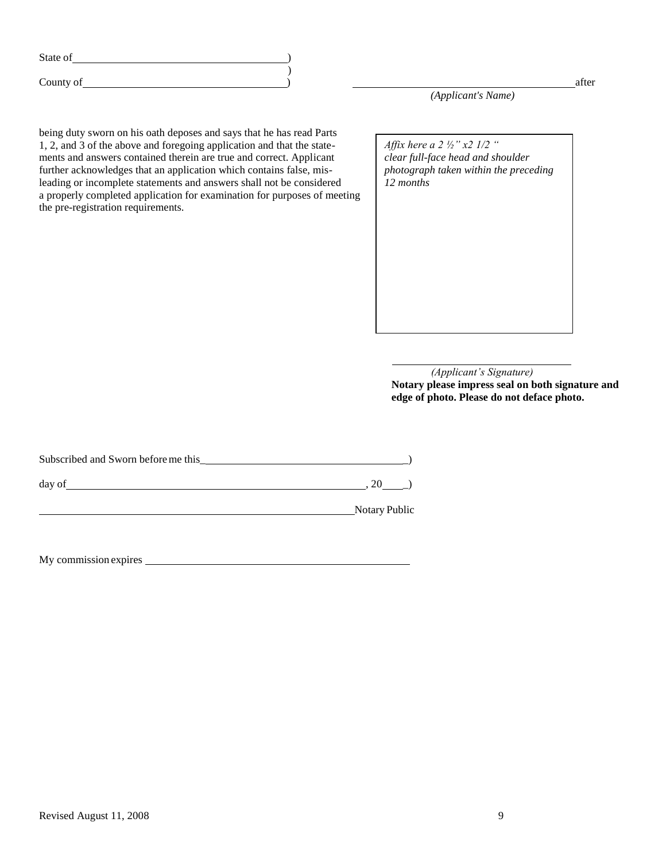| State of |  |
|----------|--|
|          |  |

County of **County of the County of the County of County of County of County of County of County of County of County of County of County of County of County of County of County of County of County of County of County of Cou** 

being duty sworn on his oath deposes and says that he has read Parts 1, 2, and 3 of the above and foregoing application and that the statements and answers contained therein are true and correct. Applicant further acknowledges that an application which contains false, misleading or incomplete statements and answers shall not be considered a properly completed application for examination for purposes of meeting the pre-registration requirements.

 $\lambda$ 

Affix here a *photograph taken within the preceding Affix here a 2 ½" x2 1/2 " clear full-face head and shoulder 12 months*

*(Applicant's Signature)* **Notary please impress seal on both signature and edge of photo. Please do not deface photo.**

| Subscribed and Sworn before me this |               |
|-------------------------------------|---------------|
| day of                              |               |
|                                     | Notary Public |

My commission expires